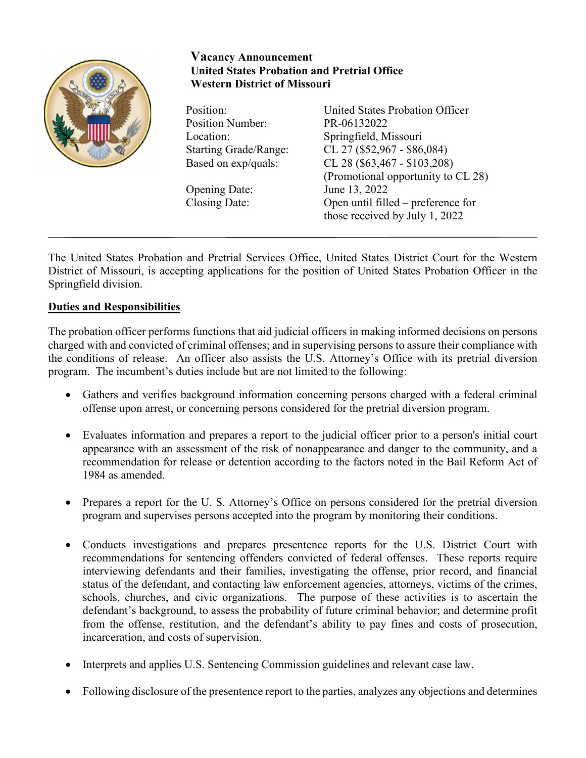

## **Vacancy Announcement United States Probation and Pretrial Office Western District of Missouri**

Position Number: PR-06132022

Opening Date:

Position: United States Probation Officer Location: Springfield, Missouri Starting Grade/Range: CL 27 (\$52,967 - \$86,084) Based on exp/quals: CL 28 (\$63,467 - \$103,208) (Promotional opportunity to CL 28) Closing Date: Open until filled – preference for those received by July 1, 2022

The United States Probation and Pretrial Services Office, United States District Court for the Western District of Missouri, is accepting applications for the position of United States Probation Officer in the Springfield division.

# **Duties and Responsibilities**

The probation officer performs functions that aid judicial officers in making informed decisions on persons charged with and convicted of criminal offenses; and in supervising persons to assure their compliance with the conditions of release. An officer also assists the U.S. Attorney's Office with its pretrial diversion program. The incumbent's duties include but are not limited to the following:

- Gathers and verifies background information concerning persons charged with a federal criminal offense upon arrest, or concerning persons considered for the pretrial diversion program.
- Evaluates information and prepares a report to the judicial officer prior to a person's initial court appearance with an assessment of the risk of nonappearance and danger to the community, and a recommendation for release or detention according to the factors noted in the Bail Reform Act of 1984 as amended.
- Prepares a report for the U.S. Attorney's Office on persons considered for the pretrial diversion program and supervises persons accepted into the program by monitoring their conditions.
- Conducts investigations and prepares presentence reports for the U.S. District Court with recommendations for sentencing offenders convicted of federal offenses. These reports require interviewing defendants and their families, investigating the offense, prior record, and financial status of the defendant, and contacting law enforcement agencies, attorneys, victims of the crimes, schools, churches, and civic organizations. The purpose of these activities is to ascertain the defendant's background, to assess the probability of future criminal behavior; and determine profit from the offense, restitution, and the defendant's ability to pay fines and costs of prosecution, incarceration, and costs of supervision.
- Interprets and applies U.S. Sentencing Commission guidelines and relevant case law.
- Following disclosure of the presentence report to the parties, analyzes any objections and determines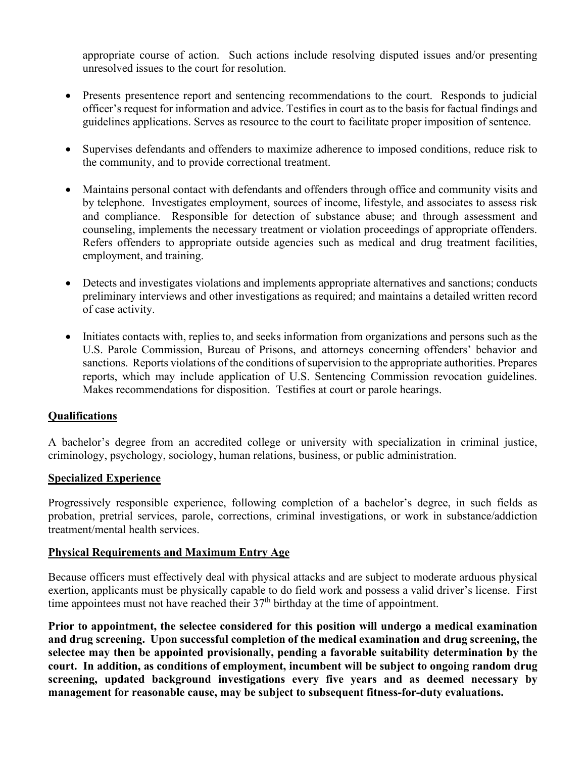appropriate course of action. Such actions include resolving disputed issues and/or presenting unresolved issues to the court for resolution.

- Presents presentence report and sentencing recommendations to the court. Responds to judicial officer's request for information and advice. Testifies in court as to the basis for factual findings and guidelines applications. Serves as resource to the court to facilitate proper imposition of sentence.
- Supervises defendants and offenders to maximize adherence to imposed conditions, reduce risk to the community, and to provide correctional treatment.
- Maintains personal contact with defendants and offenders through office and community visits and by telephone. Investigates employment, sources of income, lifestyle, and associates to assess risk and compliance. Responsible for detection of substance abuse; and through assessment and counseling, implements the necessary treatment or violation proceedings of appropriate offenders. Refers offenders to appropriate outside agencies such as medical and drug treatment facilities, employment, and training.
- Detects and investigates violations and implements appropriate alternatives and sanctions; conducts preliminary interviews and other investigations as required; and maintains a detailed written record of case activity.
- Initiates contacts with, replies to, and seeks information from organizations and persons such as the U.S. Parole Commission, Bureau of Prisons, and attorneys concerning offenders' behavior and sanctions. Reports violations of the conditions of supervision to the appropriate authorities. Prepares reports, which may include application of U.S. Sentencing Commission revocation guidelines. Makes recommendations for disposition. Testifies at court or parole hearings.

### **Qualifications**

A bachelor's degree from an accredited college or university with specialization in criminal justice, criminology, psychology, sociology, human relations, business, or public administration.

#### **Specialized Experience**

Progressively responsible experience, following completion of a bachelor's degree, in such fields as probation, pretrial services, parole, corrections, criminal investigations, or work in substance/addiction treatment/mental health services.

### **Physical Requirements and Maximum Entry Age**

Because officers must effectively deal with physical attacks and are subject to moderate arduous physical exertion, applicants must be physically capable to do field work and possess a valid driver's license. First time appointees must not have reached their  $37<sup>th</sup>$  birthday at the time of appointment.

**Prior to appointment, the selectee considered for this position will undergo a medical examination and drug screening. Upon successful completion of the medical examination and drug screening, the selectee may then be appointed provisionally, pending a favorable suitability determination by the court. In addition, as conditions of employment, incumbent will be subject to ongoing random drug screening, updated background investigations every five years and as deemed necessary by management for reasonable cause, may be subject to subsequent fitness-for-duty evaluations.**